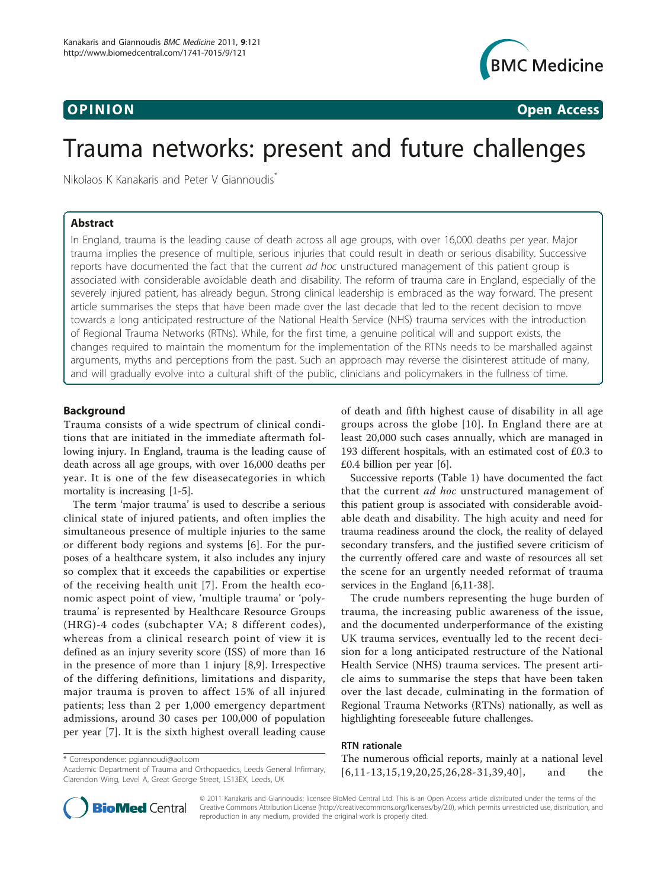

OPINION Open Access

# Trauma networks: present and future challenges

Nikolaos K Kanakaris and Peter V Giannoudis<sup>\*</sup>

# Abstract

In England, trauma is the leading cause of death across all age groups, with over 16,000 deaths per year. Major trauma implies the presence of multiple, serious injuries that could result in death or serious disability. Successive reports have documented the fact that the current *ad hoc* unstructured management of this patient group is associated with considerable avoidable death and disability. The reform of trauma care in England, especially of the severely injured patient, has already begun. Strong clinical leadership is embraced as the way forward. The present article summarises the steps that have been made over the last decade that led to the recent decision to move towards a long anticipated restructure of the National Health Service (NHS) trauma services with the introduction of Regional Trauma Networks (RTNs). While, for the first time, a genuine political will and support exists, the changes required to maintain the momentum for the implementation of the RTNs needs to be marshalled against arguments, myths and perceptions from the past. Such an approach may reverse the disinterest attitude of many, and will gradually evolve into a cultural shift of the public, clinicians and policymakers in the fullness of time.

# Background

Trauma consists of a wide spectrum of clinical conditions that are initiated in the immediate aftermath following injury. In England, trauma is the leading cause of death across all age groups, with over 16,000 deaths per year. It is one of the few diseasecategories in which mortality is increasing [[1-5](#page-8-0)].

The term 'major trauma' is used to describe a serious clinical state of injured patients, and often implies the simultaneous presence of multiple injuries to the same or different body regions and systems [[6\]](#page-8-0). For the purposes of a healthcare system, it also includes any injury so complex that it exceeds the capabilities or expertise of the receiving health unit [\[7\]](#page-8-0). From the health economic aspect point of view, 'multiple trauma' or 'polytrauma' is represented by Healthcare Resource Groups (HRG)-4 codes (subchapter VA; 8 different codes), whereas from a clinical research point of view it is defined as an injury severity score (ISS) of more than 16 in the presence of more than 1 injury [\[8](#page-8-0),[9\]](#page-8-0). Irrespective of the differing definitions, limitations and disparity, major trauma is proven to affect 15% of all injured patients; less than 2 per 1,000 emergency department admissions, around 30 cases per 100,000 of population per year [\[7](#page-8-0)]. It is the sixth highest overall leading cause

of death and fifth highest cause of disability in all age groups across the globe [[10\]](#page-8-0). In England there are at least 20,000 such cases annually, which are managed in 193 different hospitals, with an estimated cost of £0.3 to £0.4 billion per year [\[6](#page-8-0)].

Successive reports (Table [1](#page-1-0)) have documented the fact that the current *ad hoc* unstructured management of this patient group is associated with considerable avoidable death and disability. The high acuity and need for trauma readiness around the clock, the reality of delayed secondary transfers, and the justified severe criticism of the currently offered care and waste of resources all set the scene for an urgently needed reformat of trauma services in the England [[6,11-38](#page-8-0)].

The crude numbers representing the huge burden of trauma, the increasing public awareness of the issue, and the documented underperformance of the existing UK trauma services, eventually led to the recent decision for a long anticipated restructure of the National Health Service (NHS) trauma services. The present article aims to summarise the steps that have been taken over the last decade, culminating in the formation of Regional Trauma Networks (RTNs) nationally, as well as highlighting foreseeable future challenges.

## RTN rationale

\* Correspondence: [pgiannoudi@aol.com](mailto:pgiannoudi@aol.com)

Academic Department of Trauma and Orthopaedics, Leeds General Infirmary, Clarendon Wing, Level A, Great George Street, LS13EX, Leeds, UK





© 2011 Kanakaris and Giannoudis; licensee BioMed Central Ltd. This is an Open Access article distributed under the terms of the Creative Commons Attribution License (<http://creativecommons.org/licenses/by/2.0>), which permits unrestricted use, distribution, and reproduction in any medium, provided the original work is properly cited.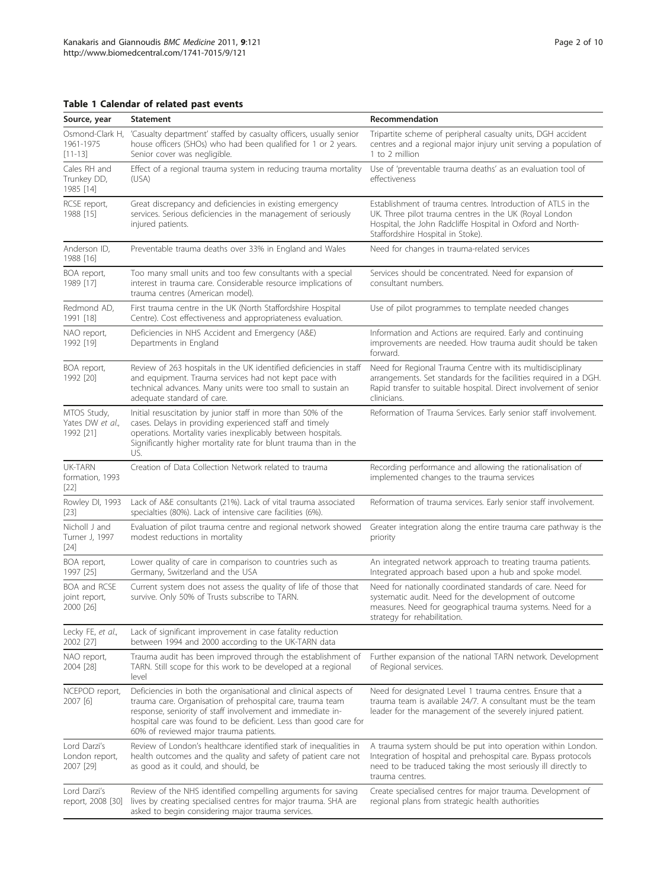# <span id="page-1-0"></span>Table 1 Calendar of related past events

| Source, year                                      | <b>Statement</b>                                                                                                                                                                                                                                                                                          | Recommendation                                                                                                                                                                                                            |
|---------------------------------------------------|-----------------------------------------------------------------------------------------------------------------------------------------------------------------------------------------------------------------------------------------------------------------------------------------------------------|---------------------------------------------------------------------------------------------------------------------------------------------------------------------------------------------------------------------------|
| Osmond-Clark H,<br>1961-1975<br>$[11 - 13]$       | 'Casualty department' staffed by casualty officers, usually senior<br>house officers (SHOs) who had been qualified for 1 or 2 years.<br>Senior cover was negligible.                                                                                                                                      | Tripartite scheme of peripheral casualty units, DGH accident<br>centres and a regional major injury unit serving a population of<br>1 to 2 million                                                                        |
| Cales RH and<br>Trunkey DD,<br>1985 [14]          | Effect of a regional trauma system in reducing trauma mortality<br>(USA)                                                                                                                                                                                                                                  | Use of 'preventable trauma deaths' as an evaluation tool of<br>effectiveness                                                                                                                                              |
| RCSE report,<br>1988 [15]                         | Great discrepancy and deficiencies in existing emergency<br>services. Serious deficiencies in the management of seriously<br>injured patients.                                                                                                                                                            | Establishment of trauma centres. Introduction of ATLS in the<br>UK. Three pilot trauma centres in the UK (Royal London<br>Hospital, the John Radcliffe Hospital in Oxford and North-<br>Staffordshire Hospital in Stoke). |
| Anderson ID,<br>1988 [16]                         | Preventable trauma deaths over 33% in England and Wales                                                                                                                                                                                                                                                   | Need for changes in trauma-related services                                                                                                                                                                               |
| BOA report,<br>1989 [17]                          | Too many small units and too few consultants with a special<br>interest in trauma care. Considerable resource implications of<br>trauma centres (American model).                                                                                                                                         | Services should be concentrated. Need for expansion of<br>consultant numbers.                                                                                                                                             |
| Redmond AD,<br>1991 [18]                          | First trauma centre in the UK (North Staffordshire Hospital<br>Centre). Cost effectiveness and appropriateness evaluation.                                                                                                                                                                                | Use of pilot programmes to template needed changes                                                                                                                                                                        |
| NAO report,<br>1992 [19]                          | Deficiencies in NHS Accident and Emergency (A&E)<br>Departments in England                                                                                                                                                                                                                                | Information and Actions are required. Early and continuing<br>improvements are needed. How trauma audit should be taken<br>forward.                                                                                       |
| BOA report,<br>1992 [20]                          | Review of 263 hospitals in the UK identified deficiencies in staff<br>and equipment. Trauma services had not kept pace with<br>technical advances. Many units were too small to sustain an<br>adequate standard of care.                                                                                  | Need for Regional Trauma Centre with its multidisciplinary<br>arrangements. Set standards for the facilities required in a DGH.<br>Rapid transfer to suitable hospital. Direct involvement of senior<br>clinicians.       |
| MTOS Study,<br>Yates DW et al.,<br>1992 [21]      | Initial resuscitation by junior staff in more than 50% of the<br>cases. Delays in providing experienced staff and timely<br>operations. Mortality varies inexplicably between hospitals.<br>Significantly higher mortality rate for blunt trauma than in the<br>US.                                       | Reformation of Trauma Services. Early senior staff involvement.                                                                                                                                                           |
| <b>UK-TARN</b><br>formation, 1993<br>$[22]$       | Creation of Data Collection Network related to trauma                                                                                                                                                                                                                                                     | Recording performance and allowing the rationalisation of<br>implemented changes to the trauma services                                                                                                                   |
| Rowley DI, 1993<br>$[23]$                         | Lack of A&E consultants (21%). Lack of vital trauma associated<br>specialties (80%). Lack of intensive care facilities (6%).                                                                                                                                                                              | Reformation of trauma services. Early senior staff involvement.                                                                                                                                                           |
| Nicholl J and<br>Turner J, 1997<br>$[24]$         | Evaluation of pilot trauma centre and regional network showed<br>modest reductions in mortality                                                                                                                                                                                                           | Greater integration along the entire trauma care pathway is the<br>priority                                                                                                                                               |
| BOA report,<br>1997 [25]                          | Lower quality of care in comparison to countries such as<br>Germany, Switzerland and the USA                                                                                                                                                                                                              | An integrated network approach to treating trauma patients.<br>Integrated approach based upon a hub and spoke model.                                                                                                      |
| <b>BOA and RCSE</b><br>joint report,<br>2000 [26] | Current system does not assess the quality of life of those that<br>survive. Only 50% of Trusts subscribe to TARN.                                                                                                                                                                                        | Need for nationally coordinated standards of care. Need for<br>systematic audit. Need for the development of outcome<br>measures. Need for geographical trauma systems. Need for a<br>strategy for rehabilitation.        |
| Lecky FE, et al.,<br>2002 [27]                    | Lack of significant improvement in case fatality reduction<br>between 1994 and 2000 according to the UK-TARN data                                                                                                                                                                                         |                                                                                                                                                                                                                           |
| NAO report,<br>2004 [28]                          | Trauma audit has been improved through the establishment of<br>TARN. Still scope for this work to be developed at a regional<br>level                                                                                                                                                                     | Further expansion of the national TARN network. Development<br>of Regional services.                                                                                                                                      |
| NCEPOD report,<br>2007 [6]                        | Deficiencies in both the organisational and clinical aspects of<br>trauma care. Organisation of prehospital care, trauma team<br>response, seniority of staff involvement and immediate in-<br>hospital care was found to be deficient. Less than good care for<br>60% of reviewed major trauma patients. | Need for designated Level 1 trauma centres. Ensure that a<br>trauma team is available 24/7. A consultant must be the team<br>leader for the management of the severely injured patient.                                   |
| Lord Darzi's<br>London report,<br>2007 [29]       | Review of London's healthcare identified stark of inequalities in<br>health outcomes and the quality and safety of patient care not<br>as good as it could, and should, be                                                                                                                                | A trauma system should be put into operation within London.<br>Integration of hospital and prehospital care. Bypass protocols<br>need to be traduced taking the most seriously ill directly to<br>trauma centres.         |
| Lord Darzi's<br>report, 2008 [30]                 | Review of the NHS identified compelling arguments for saving<br>lives by creating specialised centres for major trauma. SHA are<br>asked to begin considering major trauma services.                                                                                                                      | Create specialised centres for major trauma. Development of<br>regional plans from strategic health authorities                                                                                                           |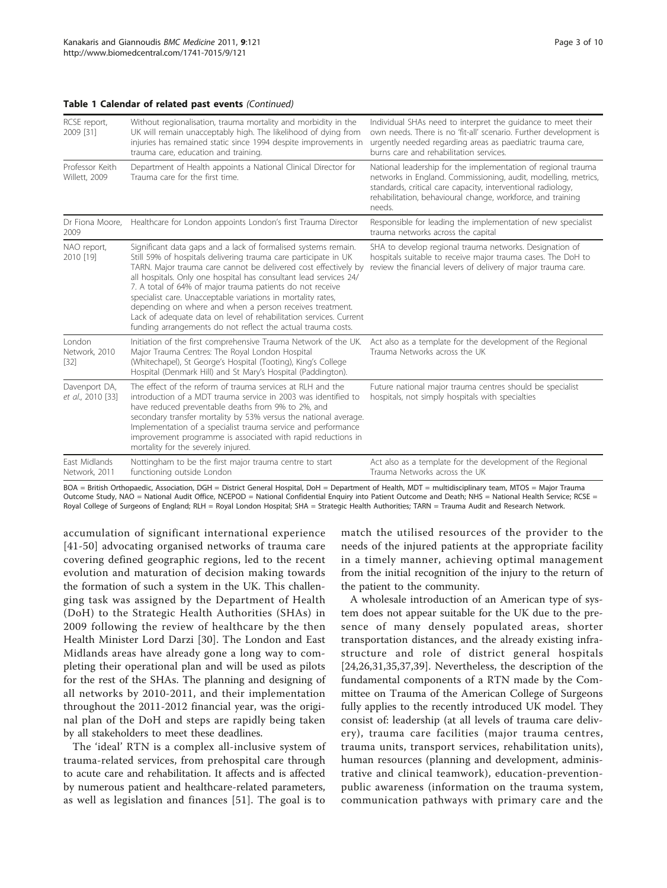#### Table 1 Calendar of related past events (Continued)

| RCSE report,<br>2009 [31]          | Without regionalisation, trauma mortality and morbidity in the<br>UK will remain unacceptably high. The likelihood of dying from<br>injuries has remained static since 1994 despite improvements in<br>trauma care, education and training.                                                                                                                                                                                                                                                                                                                                                              | Individual SHAs need to interpret the guidance to meet their<br>own needs. There is no 'fit-all' scenario. Further development is<br>urgently needed regarding areas as paediatric trauma care,<br>burns care and rehabilitation services.                               |
|------------------------------------|----------------------------------------------------------------------------------------------------------------------------------------------------------------------------------------------------------------------------------------------------------------------------------------------------------------------------------------------------------------------------------------------------------------------------------------------------------------------------------------------------------------------------------------------------------------------------------------------------------|--------------------------------------------------------------------------------------------------------------------------------------------------------------------------------------------------------------------------------------------------------------------------|
| Professor Keith<br>Willett, 2009   | Department of Health appoints a National Clinical Director for<br>Trauma care for the first time.                                                                                                                                                                                                                                                                                                                                                                                                                                                                                                        | National leadership for the implementation of regional trauma<br>networks in England. Commissioning, audit, modelling, metrics,<br>standards, critical care capacity, interventional radiology,<br>rehabilitation, behavioural change, workforce, and training<br>needs. |
| Dr Fiona Moore,<br>2009            | Healthcare for London appoints London's first Trauma Director                                                                                                                                                                                                                                                                                                                                                                                                                                                                                                                                            | Responsible for leading the implementation of new specialist<br>trauma networks across the capital                                                                                                                                                                       |
| NAO report,<br>2010 [19]           | Significant data gaps and a lack of formalised systems remain.<br>Still 59% of hospitals delivering trauma care participate in UK<br>TARN. Major trauma care cannot be delivered cost effectively by<br>all hospitals. Only one hospital has consultant lead services 24/<br>7. A total of 64% of major trauma patients do not receive<br>specialist care. Unacceptable variations in mortality rates,<br>depending on where and when a person receives treatment.<br>Lack of adequate data on level of rehabilitation services. Current<br>funding arrangements do not reflect the actual trauma costs. | SHA to develop regional trauma networks. Designation of<br>hospitals suitable to receive major trauma cases. The DoH to<br>review the financial levers of delivery of major trauma care.                                                                                 |
| London<br>Network, 2010<br>$[32]$  | Initiation of the first comprehensive Trauma Network of the UK.<br>Major Trauma Centres: The Royal London Hospital<br>(Whitechapel), St George's Hospital (Tooting), King's College<br>Hospital (Denmark Hill) and St Mary's Hospital (Paddington).                                                                                                                                                                                                                                                                                                                                                      | Act also as a template for the development of the Regional<br>Trauma Networks across the UK                                                                                                                                                                              |
| Davenport DA,<br>et al., 2010 [33] | The effect of the reform of trauma services at RLH and the<br>introduction of a MDT trauma service in 2003 was identified to<br>have reduced preventable deaths from 9% to 2%, and<br>secondary transfer mortality by 53% versus the national average.<br>Implementation of a specialist trauma service and performance<br>improvement programme is associated with rapid reductions in<br>mortality for the severely injured.                                                                                                                                                                           | Future national major trauma centres should be specialist<br>hospitals, not simply hospitals with specialties                                                                                                                                                            |
| East Midlands<br>Network, 2011     | Nottingham to be the first major trauma centre to start<br>functioning outside London                                                                                                                                                                                                                                                                                                                                                                                                                                                                                                                    | Act also as a template for the development of the Regional<br>Trauma Networks across the UK                                                                                                                                                                              |

BOA = British Orthopaedic, Association, DGH = District General Hospital, DoH = Department of Health, MDT = multidisciplinary team, MTOS = Major Trauma Outcome Study, NAO = National Audit Office, NCEPOD = National Confidential Enquiry into Patient Outcome and Death; NHS = National Health Service; RCSE = Royal College of Surgeons of England; RLH = Royal London Hospital; SHA = Strategic Health Authorities; TARN = Trauma Audit and Research Network.

accumulation of significant international experience [[41](#page-8-0)-[50](#page-9-0)] advocating organised networks of trauma care covering defined geographic regions, led to the recent evolution and maturation of decision making towards the formation of such a system in the UK. This challenging task was assigned by the Department of Health (DoH) to the Strategic Health Authorities (SHAs) in 2009 following the review of healthcare by the then Health Minister Lord Darzi [[30\]](#page-8-0). The London and East Midlands areas have already gone a long way to completing their operational plan and will be used as pilots for the rest of the SHAs. The planning and designing of all networks by 2010-2011, and their implementation throughout the 2011-2012 financial year, was the original plan of the DoH and steps are rapidly being taken by all stakeholders to meet these deadlines.

The 'ideal' RTN is a complex all-inclusive system of trauma-related services, from prehospital care through to acute care and rehabilitation. It affects and is affected by numerous patient and healthcare-related parameters, as well as legislation and finances [\[51\]](#page-9-0). The goal is to

match the utilised resources of the provider to the needs of the injured patients at the appropriate facility in a timely manner, achieving optimal management from the initial recognition of the injury to the return of the patient to the community.

A wholesale introduction of an American type of system does not appear suitable for the UK due to the presence of many densely populated areas, shorter transportation distances, and the already existing infrastructure and role of district general hospitals [[24,26](#page-8-0),[31,35,37,39](#page-8-0)]. Nevertheless, the description of the fundamental components of a RTN made by the Committee on Trauma of the American College of Surgeons fully applies to the recently introduced UK model. They consist of: leadership (at all levels of trauma care delivery), trauma care facilities (major trauma centres, trauma units, transport services, rehabilitation units), human resources (planning and development, administrative and clinical teamwork), education-preventionpublic awareness (information on the trauma system, communication pathways with primary care and the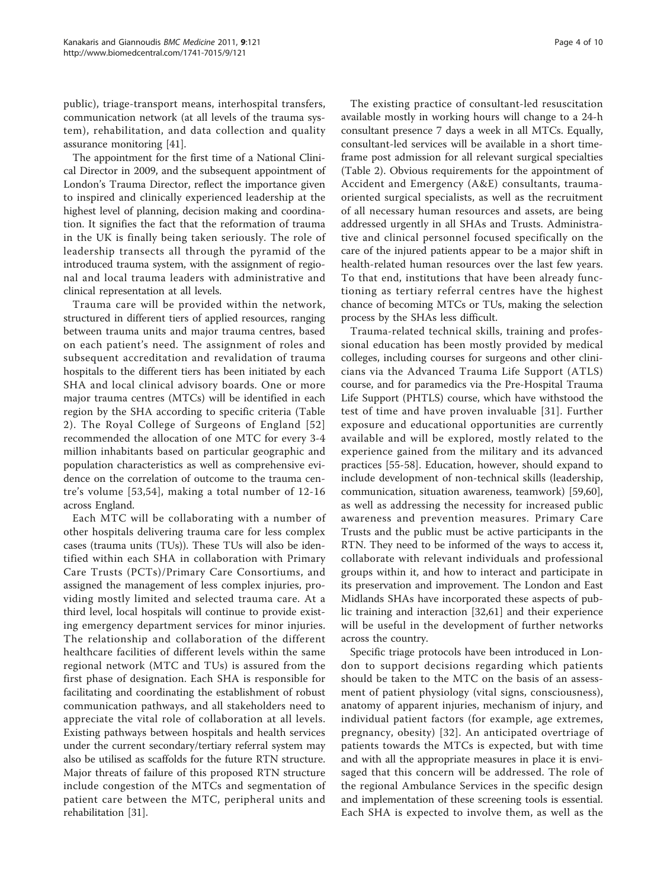public), triage-transport means, interhospital transfers, communication network (at all levels of the trauma system), rehabilitation, and data collection and quality assurance monitoring [\[41](#page-8-0)].

The appointment for the first time of a National Clinical Director in 2009, and the subsequent appointment of London's Trauma Director, reflect the importance given to inspired and clinically experienced leadership at the highest level of planning, decision making and coordination. It signifies the fact that the reformation of trauma in the UK is finally being taken seriously. The role of leadership transects all through the pyramid of the introduced trauma system, with the assignment of regional and local trauma leaders with administrative and clinical representation at all levels.

Trauma care will be provided within the network, structured in different tiers of applied resources, ranging between trauma units and major trauma centres, based on each patient's need. The assignment of roles and subsequent accreditation and revalidation of trauma hospitals to the different tiers has been initiated by each SHA and local clinical advisory boards. One or more major trauma centres (MTCs) will be identified in each region by the SHA according to specific criteria (Table [2](#page-4-0)). The Royal College of Surgeons of England [[52](#page-9-0)] recommended the allocation of one MTC for every 3-4 million inhabitants based on particular geographic and population characteristics as well as comprehensive evidence on the correlation of outcome to the trauma centre's volume [\[53,54](#page-9-0)], making a total number of 12-16 across England.

Each MTC will be collaborating with a number of other hospitals delivering trauma care for less complex cases (trauma units (TUs)). These TUs will also be identified within each SHA in collaboration with Primary Care Trusts (PCTs)/Primary Care Consortiums, and assigned the management of less complex injuries, providing mostly limited and selected trauma care. At a third level, local hospitals will continue to provide existing emergency department services for minor injuries. The relationship and collaboration of the different healthcare facilities of different levels within the same regional network (MTC and TUs) is assured from the first phase of designation. Each SHA is responsible for facilitating and coordinating the establishment of robust communication pathways, and all stakeholders need to appreciate the vital role of collaboration at all levels. Existing pathways between hospitals and health services under the current secondary/tertiary referral system may also be utilised as scaffolds for the future RTN structure. Major threats of failure of this proposed RTN structure include congestion of the MTCs and segmentation of patient care between the MTC, peripheral units and rehabilitation [\[31\]](#page-8-0).

The existing practice of consultant-led resuscitation available mostly in working hours will change to a 24-h consultant presence 7 days a week in all MTCs. Equally, consultant-led services will be available in a short timeframe post admission for all relevant surgical specialties (Table [2](#page-4-0)). Obvious requirements for the appointment of Accident and Emergency (A&E) consultants, traumaoriented surgical specialists, as well as the recruitment of all necessary human resources and assets, are being addressed urgently in all SHAs and Trusts. Administrative and clinical personnel focused specifically on the care of the injured patients appear to be a major shift in health-related human resources over the last few years. To that end, institutions that have been already functioning as tertiary referral centres have the highest chance of becoming MTCs or TUs, making the selection process by the SHAs less difficult.

Trauma-related technical skills, training and professional education has been mostly provided by medical colleges, including courses for surgeons and other clinicians via the Advanced Trauma Life Support (ATLS) course, and for paramedics via the Pre-Hospital Trauma Life Support (PHTLS) course, which have withstood the test of time and have proven invaluable [\[31\]](#page-8-0). Further exposure and educational opportunities are currently available and will be explored, mostly related to the experience gained from the military and its advanced practices [[55](#page-9-0)-[58\]](#page-9-0). Education, however, should expand to include development of non-technical skills (leadership, communication, situation awareness, teamwork) [\[59,60](#page-9-0)], as well as addressing the necessity for increased public awareness and prevention measures. Primary Care Trusts and the public must be active participants in the RTN. They need to be informed of the ways to access it, collaborate with relevant individuals and professional groups within it, and how to interact and participate in its preservation and improvement. The London and East Midlands SHAs have incorporated these aspects of public training and interaction [\[32](#page-8-0)[,61](#page-9-0)] and their experience will be useful in the development of further networks across the country.

Specific triage protocols have been introduced in London to support decisions regarding which patients should be taken to the MTC on the basis of an assessment of patient physiology (vital signs, consciousness), anatomy of apparent injuries, mechanism of injury, and individual patient factors (for example, age extremes, pregnancy, obesity) [[32](#page-8-0)]. An anticipated overtriage of patients towards the MTCs is expected, but with time and with all the appropriate measures in place it is envisaged that this concern will be addressed. The role of the regional Ambulance Services in the specific design and implementation of these screening tools is essential. Each SHA is expected to involve them, as well as the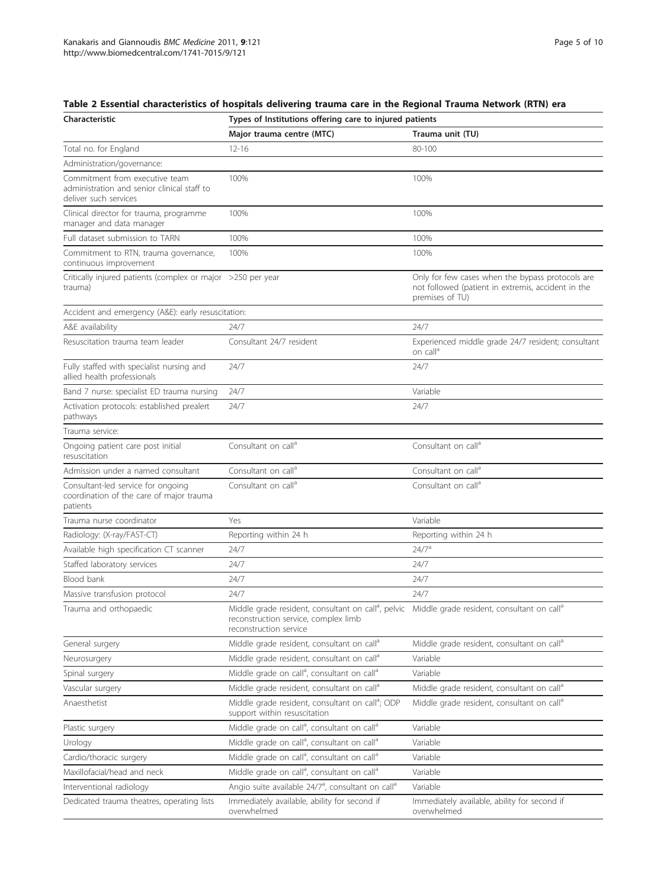# <span id="page-4-0"></span>Table 2 Essential characteristics of hospitals delivering trauma care in the Regional Trauma Network (RTN) era

| Characteristic                                                                                         | Types of Institutions offering care to injured patients                                                                                                                                  |                                                                                                                           |  |
|--------------------------------------------------------------------------------------------------------|------------------------------------------------------------------------------------------------------------------------------------------------------------------------------------------|---------------------------------------------------------------------------------------------------------------------------|--|
|                                                                                                        | Major trauma centre (MTC)                                                                                                                                                                | Trauma unit (TU)                                                                                                          |  |
| Total no. for England                                                                                  | $12 - 16$                                                                                                                                                                                | 80-100                                                                                                                    |  |
| Administration/governance:                                                                             |                                                                                                                                                                                          |                                                                                                                           |  |
| Commitment from executive team<br>administration and senior clinical staff to<br>deliver such services | 100%                                                                                                                                                                                     | 100%                                                                                                                      |  |
| Clinical director for trauma, programme<br>manager and data manager                                    | 100%                                                                                                                                                                                     | 100%                                                                                                                      |  |
| Full dataset submission to TARN                                                                        | 100%                                                                                                                                                                                     | 100%                                                                                                                      |  |
| Commitment to RTN, trauma governance,<br>continuous improvement                                        | 100%                                                                                                                                                                                     | 100%                                                                                                                      |  |
| Critically injured patients (complex or major >250 per year<br>trauma)                                 |                                                                                                                                                                                          | Only for few cases when the bypass protocols are<br>not followed (patient in extremis, accident in the<br>premises of TU) |  |
| Accident and emergency (A&E): early resuscitation:                                                     |                                                                                                                                                                                          |                                                                                                                           |  |
| A&E availability                                                                                       | 24/7                                                                                                                                                                                     | 24/7                                                                                                                      |  |
| Resuscitation trauma team leader                                                                       | Consultant 24/7 resident                                                                                                                                                                 | Experienced middle grade 24/7 resident; consultant<br>on call <sup>a</sup>                                                |  |
| Fully staffed with specialist nursing and<br>allied health professionals                               | 24/7                                                                                                                                                                                     | 24/7                                                                                                                      |  |
| Band 7 nurse: specialist ED trauma nursing                                                             | 24/7                                                                                                                                                                                     | Variable                                                                                                                  |  |
| Activation protocols: established prealert<br>pathways                                                 | 24/7                                                                                                                                                                                     | 24/7                                                                                                                      |  |
| Trauma service:                                                                                        |                                                                                                                                                                                          |                                                                                                                           |  |
| Ongoing patient care post initial<br>resuscitation                                                     | Consultant on call <sup>a</sup>                                                                                                                                                          | Consultant on call <sup>a</sup>                                                                                           |  |
| Admission under a named consultant                                                                     | Consultant on call <sup>a</sup>                                                                                                                                                          | Consultant on call <sup>a</sup>                                                                                           |  |
| Consultant-led service for ongoing<br>coordination of the care of major trauma<br>patients             | Consultant on call <sup>a</sup>                                                                                                                                                          | Consultant on call <sup>a</sup>                                                                                           |  |
| Trauma nurse coordinator                                                                               | Yes                                                                                                                                                                                      | Variable                                                                                                                  |  |
| Radiology: (X-ray/FAST-CT)                                                                             | Reporting within 24 h                                                                                                                                                                    | Reporting within 24 h                                                                                                     |  |
| Available high specification CT scanner                                                                | 24/7                                                                                                                                                                                     | $24/7^a$                                                                                                                  |  |
| Staffed laboratory services                                                                            | 24/7                                                                                                                                                                                     | 24/7                                                                                                                      |  |
| Blood bank                                                                                             | 24/7                                                                                                                                                                                     | 24/7                                                                                                                      |  |
| Massive transfusion protocol                                                                           | 24/7                                                                                                                                                                                     | 24/7                                                                                                                      |  |
| Trauma and orthopaedic                                                                                 | Middle grade resident, consultant on call <sup>a</sup> , pelvic Middle grade resident, consultant on call <sup>a</sup><br>reconstruction service, complex limb<br>reconstruction service |                                                                                                                           |  |
| General surgery                                                                                        | Middle grade resident, consultant on call <sup>a</sup>                                                                                                                                   | Middle grade resident, consultant on call <sup>a</sup>                                                                    |  |
| Neurosurgery                                                                                           | Middle grade resident, consultant on call <sup>a</sup>                                                                                                                                   | Variable                                                                                                                  |  |
| Spinal surgery                                                                                         | Middle grade on call <sup>a</sup> , consultant on call <sup>a</sup>                                                                                                                      | Variable                                                                                                                  |  |
| Vascular surgery                                                                                       | Middle grade resident, consultant on call <sup>a</sup>                                                                                                                                   | Middle grade resident, consultant on call <sup>a</sup>                                                                    |  |
| Anaesthetist                                                                                           | Middle grade resident, consultant on call <sup>a</sup> ; ODP<br>support within resuscitation                                                                                             | Middle grade resident, consultant on call <sup>a</sup>                                                                    |  |
| Plastic surgery                                                                                        | Middle grade on call <sup>a</sup> , consultant on call <sup>a</sup>                                                                                                                      | Variable                                                                                                                  |  |
| Urology                                                                                                | Middle grade on call <sup>a</sup> , consultant on call <sup>a</sup>                                                                                                                      | Variable                                                                                                                  |  |
| Cardio/thoracic surgery                                                                                | Middle grade on call <sup>a</sup> , consultant on call <sup>a</sup>                                                                                                                      | Variable                                                                                                                  |  |
| Maxillofacial/head and neck                                                                            | Middle grade on call <sup>a</sup> , consultant on call <sup>a</sup>                                                                                                                      | Variable                                                                                                                  |  |
| Interventional radiology                                                                               | Angio suite available 24/7 <sup>a</sup> , consultant on call <sup>a</sup>                                                                                                                | Variable                                                                                                                  |  |
| Dedicated trauma theatres, operating lists                                                             | Immediately available, ability for second if<br>overwhelmed                                                                                                                              | Immediately available, ability for second if<br>overwhelmed                                                               |  |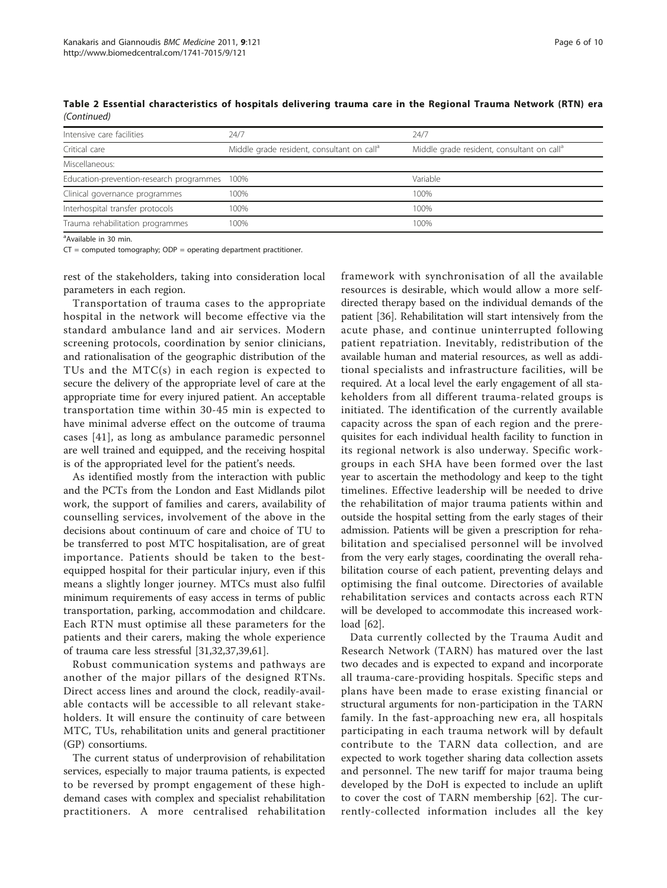| 24/7                                                   | 24/7                                                   |
|--------------------------------------------------------|--------------------------------------------------------|
| Middle grade resident, consultant on call <sup>a</sup> | Middle grade resident, consultant on call <sup>a</sup> |
|                                                        |                                                        |
| Education-prevention-research programmes 100%          | Variable                                               |
| 100%                                                   | 100%                                                   |
| 100%                                                   | 100%                                                   |
| 100%                                                   | 100%                                                   |
|                                                        |                                                        |

Table 2 Essential characteristics of hospitals delivering trauma care in the Regional Trauma Network (RTN) era (Continued)

<sup>a</sup>Available in 30 min.

 $CT = computed tomography; ODP = operating department practitioner.$ 

rest of the stakeholders, taking into consideration local parameters in each region.

Transportation of trauma cases to the appropriate hospital in the network will become effective via the standard ambulance land and air services. Modern screening protocols, coordination by senior clinicians, and rationalisation of the geographic distribution of the TUs and the MTC(s) in each region is expected to secure the delivery of the appropriate level of care at the appropriate time for every injured patient. An acceptable transportation time within 30-45 min is expected to have minimal adverse effect on the outcome of trauma cases [\[41\]](#page-8-0), as long as ambulance paramedic personnel are well trained and equipped, and the receiving hospital is of the appropriated level for the patient's needs.

As identified mostly from the interaction with public and the PCTs from the London and East Midlands pilot work, the support of families and carers, availability of counselling services, involvement of the above in the decisions about continuum of care and choice of TU to be transferred to post MTC hospitalisation, are of great importance. Patients should be taken to the bestequipped hospital for their particular injury, even if this means a slightly longer journey. MTCs must also fulfil minimum requirements of easy access in terms of public transportation, parking, accommodation and childcare. Each RTN must optimise all these parameters for the patients and their carers, making the whole experience of trauma care less stressful [\[31,32,37,39,](#page-8-0)[61\]](#page-9-0).

Robust communication systems and pathways are another of the major pillars of the designed RTNs. Direct access lines and around the clock, readily-available contacts will be accessible to all relevant stakeholders. It will ensure the continuity of care between MTC, TUs, rehabilitation units and general practitioner (GP) consortiums.

The current status of underprovision of rehabilitation services, especially to major trauma patients, is expected to be reversed by prompt engagement of these highdemand cases with complex and specialist rehabilitation practitioners. A more centralised rehabilitation framework with synchronisation of all the available resources is desirable, which would allow a more selfdirected therapy based on the individual demands of the patient [\[36](#page-8-0)]. Rehabilitation will start intensively from the acute phase, and continue uninterrupted following patient repatriation. Inevitably, redistribution of the available human and material resources, as well as additional specialists and infrastructure facilities, will be required. At a local level the early engagement of all stakeholders from all different trauma-related groups is initiated. The identification of the currently available capacity across the span of each region and the prerequisites for each individual health facility to function in its regional network is also underway. Specific workgroups in each SHA have been formed over the last year to ascertain the methodology and keep to the tight timelines. Effective leadership will be needed to drive the rehabilitation of major trauma patients within and outside the hospital setting from the early stages of their admission. Patients will be given a prescription for rehabilitation and specialised personnel will be involved from the very early stages, coordinating the overall rehabilitation course of each patient, preventing delays and optimising the final outcome. Directories of available rehabilitation services and contacts across each RTN will be developed to accommodate this increased workload [\[62](#page-9-0)].

Data currently collected by the Trauma Audit and Research Network (TARN) has matured over the last two decades and is expected to expand and incorporate all trauma-care-providing hospitals. Specific steps and plans have been made to erase existing financial or structural arguments for non-participation in the TARN family. In the fast-approaching new era, all hospitals participating in each trauma network will by default contribute to the TARN data collection, and are expected to work together sharing data collection assets and personnel. The new tariff for major trauma being developed by the DoH is expected to include an uplift to cover the cost of TARN membership [[62](#page-9-0)]. The currently-collected information includes all the key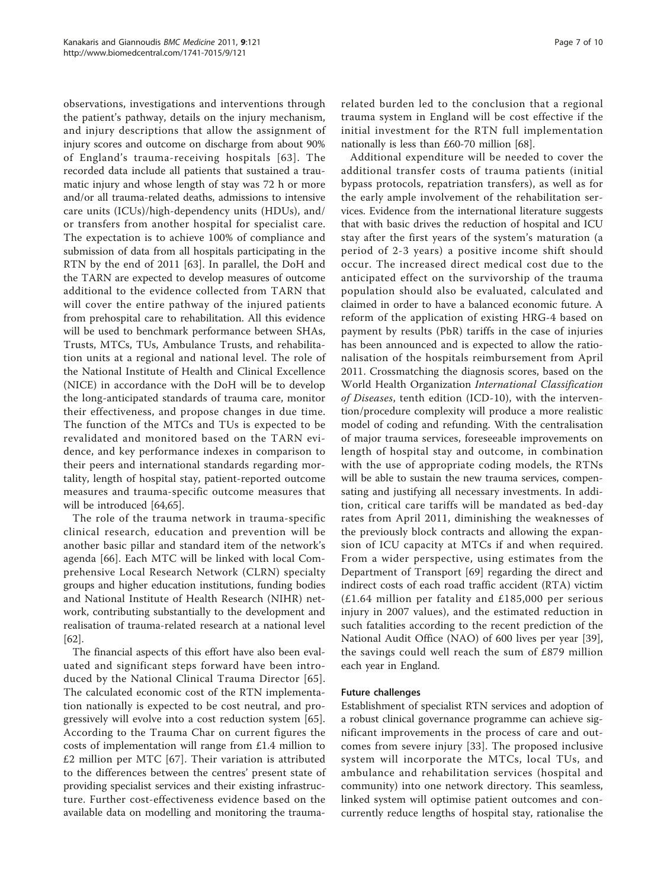observations, investigations and interventions through the patient's pathway, details on the injury mechanism, and injury descriptions that allow the assignment of injury scores and outcome on discharge from about 90% of England's trauma-receiving hospitals [[63\]](#page-9-0). The recorded data include all patients that sustained a traumatic injury and whose length of stay was 72 h or more and/or all trauma-related deaths, admissions to intensive care units (ICUs)/high-dependency units (HDUs), and/ or transfers from another hospital for specialist care. The expectation is to achieve 100% of compliance and submission of data from all hospitals participating in the RTN by the end of 2011 [\[63](#page-9-0)]. In parallel, the DoH and the TARN are expected to develop measures of outcome additional to the evidence collected from TARN that will cover the entire pathway of the injured patients from prehospital care to rehabilitation. All this evidence will be used to benchmark performance between SHAs, Trusts, MTCs, TUs, Ambulance Trusts, and rehabilitation units at a regional and national level. The role of the National Institute of Health and Clinical Excellence (NICE) in accordance with the DoH will be to develop the long-anticipated standards of trauma care, monitor their effectiveness, and propose changes in due time. The function of the MTCs and TUs is expected to be revalidated and monitored based on the TARN evidence, and key performance indexes in comparison to their peers and international standards regarding mortality, length of hospital stay, patient-reported outcome measures and trauma-specific outcome measures that will be introduced [[64,65](#page-9-0)].

The role of the trauma network in trauma-specific clinical research, education and prevention will be another basic pillar and standard item of the network's agenda [[66\]](#page-9-0). Each MTC will be linked with local Comprehensive Local Research Network (CLRN) specialty groups and higher education institutions, funding bodies and National Institute of Health Research (NIHR) network, contributing substantially to the development and realisation of trauma-related research at a national level [[62\]](#page-9-0).

The financial aspects of this effort have also been evaluated and significant steps forward have been introduced by the National Clinical Trauma Director [[65](#page-9-0)]. The calculated economic cost of the RTN implementation nationally is expected to be cost neutral, and progressively will evolve into a cost reduction system [[65](#page-9-0)]. According to the Trauma Char on current figures the costs of implementation will range from £1.4 million to £2 million per MTC [[67](#page-9-0)]. Their variation is attributed to the differences between the centres' present state of providing specialist services and their existing infrastructure. Further cost-effectiveness evidence based on the available data on modelling and monitoring the traumarelated burden led to the conclusion that a regional trauma system in England will be cost effective if the initial investment for the RTN full implementation nationally is less than £60-70 million [[68\]](#page-9-0).

Additional expenditure will be needed to cover the additional transfer costs of trauma patients (initial bypass protocols, repatriation transfers), as well as for the early ample involvement of the rehabilitation services. Evidence from the international literature suggests that with basic drives the reduction of hospital and ICU stay after the first years of the system's maturation (a period of 2-3 years) a positive income shift should occur. The increased direct medical cost due to the anticipated effect on the survivorship of the trauma population should also be evaluated, calculated and claimed in order to have a balanced economic future. A reform of the application of existing HRG-4 based on payment by results (PbR) tariffs in the case of injuries has been announced and is expected to allow the rationalisation of the hospitals reimbursement from April 2011. Crossmatching the diagnosis scores, based on the World Health Organization International Classification of Diseases, tenth edition (ICD-10), with the intervention/procedure complexity will produce a more realistic model of coding and refunding. With the centralisation of major trauma services, foreseeable improvements on length of hospital stay and outcome, in combination with the use of appropriate coding models, the RTNs will be able to sustain the new trauma services, compensating and justifying all necessary investments. In addition, critical care tariffs will be mandated as bed-day rates from April 2011, diminishing the weaknesses of the previously block contracts and allowing the expansion of ICU capacity at MTCs if and when required. From a wider perspective, using estimates from the Department of Transport [[69\]](#page-9-0) regarding the direct and indirect costs of each road traffic accident (RTA) victim (£1.64 million per fatality and £185,000 per serious injury in 2007 values), and the estimated reduction in such fatalities according to the recent prediction of the National Audit Office (NAO) of 600 lives per year [\[39](#page-8-0)], the savings could well reach the sum of £879 million each year in England.

### Future challenges

Establishment of specialist RTN services and adoption of a robust clinical governance programme can achieve significant improvements in the process of care and outcomes from severe injury [[33](#page-8-0)]. The proposed inclusive system will incorporate the MTCs, local TUs, and ambulance and rehabilitation services (hospital and community) into one network directory. This seamless, linked system will optimise patient outcomes and concurrently reduce lengths of hospital stay, rationalise the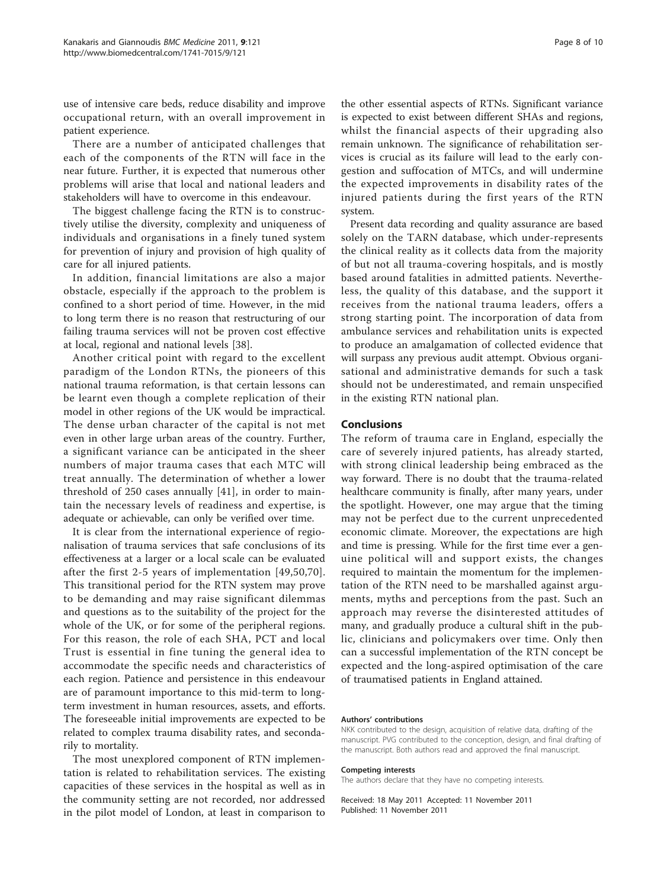use of intensive care beds, reduce disability and improve occupational return, with an overall improvement in patient experience.

There are a number of anticipated challenges that each of the components of the RTN will face in the near future. Further, it is expected that numerous other problems will arise that local and national leaders and stakeholders will have to overcome in this endeavour.

The biggest challenge facing the RTN is to constructively utilise the diversity, complexity and uniqueness of individuals and organisations in a finely tuned system for prevention of injury and provision of high quality of care for all injured patients.

In addition, financial limitations are also a major obstacle, especially if the approach to the problem is confined to a short period of time. However, in the mid to long term there is no reason that restructuring of our failing trauma services will not be proven cost effective at local, regional and national levels [\[38](#page-8-0)].

Another critical point with regard to the excellent paradigm of the London RTNs, the pioneers of this national trauma reformation, is that certain lessons can be learnt even though a complete replication of their model in other regions of the UK would be impractical. The dense urban character of the capital is not met even in other large urban areas of the country. Further, a significant variance can be anticipated in the sheer numbers of major trauma cases that each MTC will treat annually. The determination of whether a lower threshold of 250 cases annually [[41](#page-8-0)], in order to maintain the necessary levels of readiness and expertise, is adequate or achievable, can only be verified over time.

It is clear from the international experience of regionalisation of trauma services that safe conclusions of its effectiveness at a larger or a local scale can be evaluated after the first 2-5 years of implementation [[49](#page-8-0),[50](#page-9-0),[70](#page-9-0)]. This transitional period for the RTN system may prove to be demanding and may raise significant dilemmas and questions as to the suitability of the project for the whole of the UK, or for some of the peripheral regions. For this reason, the role of each SHA, PCT and local Trust is essential in fine tuning the general idea to accommodate the specific needs and characteristics of each region. Patience and persistence in this endeavour are of paramount importance to this mid-term to longterm investment in human resources, assets, and efforts. The foreseeable initial improvements are expected to be related to complex trauma disability rates, and secondarily to mortality.

The most unexplored component of RTN implementation is related to rehabilitation services. The existing capacities of these services in the hospital as well as in the community setting are not recorded, nor addressed in the pilot model of London, at least in comparison to

the other essential aspects of RTNs. Significant variance is expected to exist between different SHAs and regions, whilst the financial aspects of their upgrading also remain unknown. The significance of rehabilitation services is crucial as its failure will lead to the early congestion and suffocation of MTCs, and will undermine the expected improvements in disability rates of the injured patients during the first years of the RTN system.

Present data recording and quality assurance are based solely on the TARN database, which under-represents the clinical reality as it collects data from the majority of but not all trauma-covering hospitals, and is mostly based around fatalities in admitted patients. Nevertheless, the quality of this database, and the support it receives from the national trauma leaders, offers a strong starting point. The incorporation of data from ambulance services and rehabilitation units is expected to produce an amalgamation of collected evidence that will surpass any previous audit attempt. Obvious organisational and administrative demands for such a task should not be underestimated, and remain unspecified in the existing RTN national plan.

#### **Conclusions**

The reform of trauma care in England, especially the care of severely injured patients, has already started, with strong clinical leadership being embraced as the way forward. There is no doubt that the trauma-related healthcare community is finally, after many years, under the spotlight. However, one may argue that the timing may not be perfect due to the current unprecedented economic climate. Moreover, the expectations are high and time is pressing. While for the first time ever a genuine political will and support exists, the changes required to maintain the momentum for the implementation of the RTN need to be marshalled against arguments, myths and perceptions from the past. Such an approach may reverse the disinterested attitudes of many, and gradually produce a cultural shift in the public, clinicians and policymakers over time. Only then can a successful implementation of the RTN concept be expected and the long-aspired optimisation of the care of traumatised patients in England attained.

#### Authors' contributions

NKK contributed to the design, acquisition of relative data, drafting of the manuscript. PVG contributed to the conception, design, and final drafting of the manuscript. Both authors read and approved the final manuscript.

#### Competing interests

The authors declare that they have no competing interests.

Received: 18 May 2011 Accepted: 11 November 2011 Published: 11 November 2011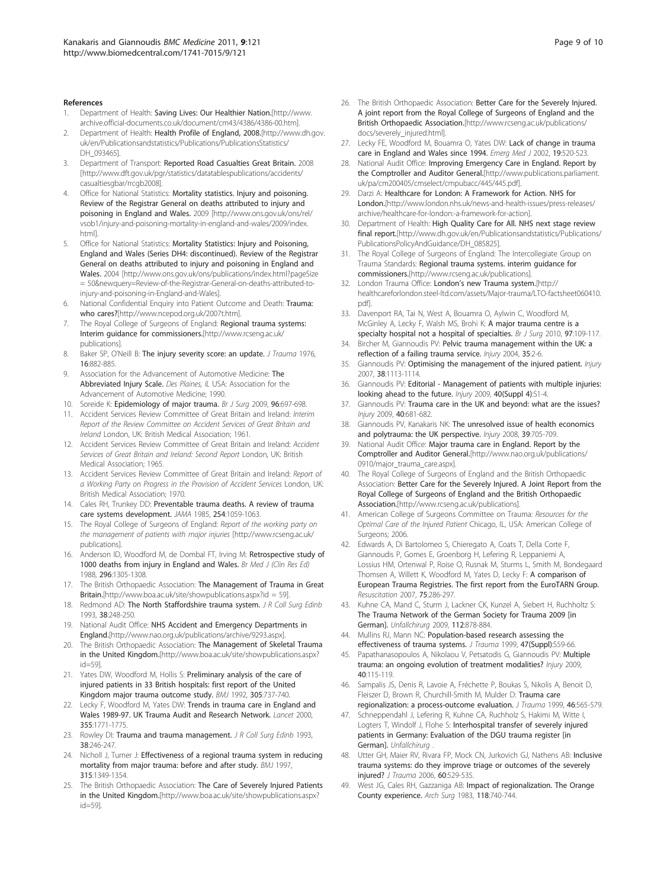#### <span id="page-8-0"></span>References

- 1. Department of Health: Saving Lives: Our Healthier Nation.[\[http://www.](http://www.archive.official-documents.co.uk/document/cm43/4386/4386-00.htm) [archive.official-documents.co.uk/document/cm43/4386/4386-00.htm](http://www.archive.official-documents.co.uk/document/cm43/4386/4386-00.htm)].
- 2. Department of Health: Health Profile of England, 2008.[\[http://www.dh.gov.](http://www.dh.gov.uk/en/Publicationsandstatistics/Publications/PublicationsStatistics/DH_093465) [uk/en/Publicationsandstatistics/Publications/PublicationsStatistics/](http://www.dh.gov.uk/en/Publicationsandstatistics/Publications/PublicationsStatistics/DH_093465) [DH\\_093465\]](http://www.dh.gov.uk/en/Publicationsandstatistics/Publications/PublicationsStatistics/DH_093465).
- 3. Department of Transport: Reported Road Casualties Great Britain. 2008 [\[http://www.dft.gov.uk/pgr/statistics/datatablespublications/accidents/](http://www.dft.gov.uk/pgr/statistics/datatablespublications/accidents/casualtiesgbar/rrcgb2008) [casualtiesgbar/rrcgb2008](http://www.dft.gov.uk/pgr/statistics/datatablespublications/accidents/casualtiesgbar/rrcgb2008)].
- 4. Office for National Statistics: Mortality statistics. Injury and poisoning. Review of the Registrar General on deaths attributed to injury and poisoning in England and Wales. 2009 [[http://www.ons.gov.uk/ons/rel/](http://www.ons.gov.uk/ons/rel/vsob1/injury-and-poisoning-mortality-in-england-and-wales/2009/index.html) [vsob1/injury-and-poisoning-mortality-in-england-and-wales/2009/index.](http://www.ons.gov.uk/ons/rel/vsob1/injury-and-poisoning-mortality-in-england-and-wales/2009/index.html) [html\]](http://www.ons.gov.uk/ons/rel/vsob1/injury-and-poisoning-mortality-in-england-and-wales/2009/index.html).
- 5. Office for National Statistics: Mortality Statistics: Injury and Poisoning, England and Wales (Series DH4: discontinued). Review of the Registrar General on deaths attributed to injury and poisoning in England and Wales. 2004 [[http://www.ons.gov.uk/ons/publications/index.html?pageSize](http://www.ons.gov.uk/ons/publications/index.html?pageSize = 50&newquery=Review-of-the-Registrar-General-on-deaths-attributed-to-injury-and-poisoning-in-England-and-Wales) [= 50&newquery=Review-of-the-Registrar-General-on-deaths-attributed-to](http://www.ons.gov.uk/ons/publications/index.html?pageSize = 50&newquery=Review-of-the-Registrar-General-on-deaths-attributed-to-injury-and-poisoning-in-England-and-Wales)[injury-and-poisoning-in-England-and-Wales](http://www.ons.gov.uk/ons/publications/index.html?pageSize = 50&newquery=Review-of-the-Registrar-General-on-deaths-attributed-to-injury-and-poisoning-in-England-and-Wales)].
- 6. National Confidential Enquiry into Patient Outcome and Death: Trauma: who cares?[[http://www.ncepod.org.uk/2007t.htm\]](http://www.ncepod.org.uk/2007t.htm).
- 7. The Royal College of Surgeons of England: Regional trauma systems: Interim guidance for commissioners.[[http://www.rcseng.ac.uk/](http://www.rcseng.ac.uk/publications) [publications](http://www.rcseng.ac.uk/publications)].
- 8. Baker SP, O'Neill B: [The injury severity score: an update.](http://www.ncbi.nlm.nih.gov/pubmed/994270?dopt=Abstract) J Trauma 1976, 16:882-885.
- 9. Association for the Advancement of Automotive Medicine: The Abbreviated Injury Scale. Des Plaines, IL USA: Association for the Advancement of Automotive Medicine; 1990.
- 10. Soreide K: [Epidemiology of major trauma.](http://www.ncbi.nlm.nih.gov/pubmed/19526611?dopt=Abstract) Br J Surg 2009, 96:697-698.
- 11. Accident Services Review Committee of Great Britain and Ireland: Interim Report of the Review Committee on Accident Services of Great Britain and Ireland London, UK: British Medical Association; 1961.
- 12. Accident Services Review Committee of Great Britain and Ireland: Accident Services of Great Britain and Ireland: Second Report London, UK: British Medical Association; 1965.
- 13. Accident Services Review Committee of Great Britain and Ireland: Report of a Working Party on Progress in the Provision of Accident Services London, UK: British Medical Association; 1970.
- 14. Cales RH, Trunkey DD: [Preventable trauma deaths. A review of trauma](http://www.ncbi.nlm.nih.gov/pubmed/3894708?dopt=Abstract) [care systems development.](http://www.ncbi.nlm.nih.gov/pubmed/3894708?dopt=Abstract) JAMA 1985, 254:1059-1063.
- 15. The Royal College of Surgeons of England: Report of the working party on the management of patients with major injuries [\[http://www.rcseng.ac.uk/](http://www.rcseng.ac.uk/publications) [publications](http://www.rcseng.ac.uk/publications)].
- 16. Anderson ID, Woodford M, de Dombal FT, Irving M: Retrospective study of 1000 deaths from injury in England and Wales. Br Med J (Clin Res Ed) 1988, 296:1305-1308.
- 17. The British Orthopaedic Association: The Management of Trauma in Great Britain.[<http://www.boa.ac.uk/site/showpublications.aspx?id = 59>].
- 18. Redmond AD: [The North Staffordshire trauma system.](http://www.ncbi.nlm.nih.gov/pubmed/8229914?dopt=Abstract) J R Coll Surg Edinb 1993, 38:248-250.
- National Audit Office: NHS Accident and Emergency Departments in England.[\[http://www.nao.org.uk/publications/archive/9293.aspx](http://www.nao.org.uk/publications/archive/9293.aspx)].
- 20. The British Orthopaedic Association: The Management of Skeletal Trauma in the United Kingdom.[\[http://www.boa.ac.uk/site/showpublications.aspx?](http://www.boa.ac.uk/site/showpublications.aspx?id=59) [id=59\]](http://www.boa.ac.uk/site/showpublications.aspx?id=59).
- 21. Yates DW, Woodford M, Hollis S: [Preliminary analysis of the care of](http://www.ncbi.nlm.nih.gov/pubmed/1422327?dopt=Abstract) [injured patients in 33 British hospitals: first report of the United](http://www.ncbi.nlm.nih.gov/pubmed/1422327?dopt=Abstract) [Kingdom major trauma outcome study.](http://www.ncbi.nlm.nih.gov/pubmed/1422327?dopt=Abstract) BMJ 1992, 305:737-740.
- 22. Lecky F, Woodford M, Yates DW: [Trends in trauma care in England and](http://www.ncbi.nlm.nih.gov/pubmed/10832827?dopt=Abstract) [Wales 1989-97. UK Trauma Audit and Research Network.](http://www.ncbi.nlm.nih.gov/pubmed/10832827?dopt=Abstract) Lancet 2000, 355:1771-1775.
- 23. Rowley DI: [Trauma and trauma management.](http://www.ncbi.nlm.nih.gov/pubmed/7980733?dopt=Abstract) J R Coll Surg Edinb 1993, 38:246-247.
- 24. Nicholl J, Turner J: [Effectiveness of a regional trauma system in reducing](http://www.ncbi.nlm.nih.gov/pubmed/9402777?dopt=Abstract) [mortality from major trauma: before and after study.](http://www.ncbi.nlm.nih.gov/pubmed/9402777?dopt=Abstract) BMJ 1997, 315:1349-1354.
- 25. The British Orthopaedic Association: The Care of Severely Injured Patients in the United Kingdom.[\[http://www.boa.ac.uk/site/showpublications.aspx?](http://www.boa.ac.uk/site/showpublications.aspx?id=59) [id=59\]](http://www.boa.ac.uk/site/showpublications.aspx?id=59).
- 26. The British Orthopaedic Association: Better Care for the Severely Injured. A joint report from the Royal College of Surgeons of England and the British Orthopaedic Association.[[http://www.rcseng.ac.uk/publications/](http://www.rcseng.ac.uk/publications/docs/severely_injured.html) [docs/severely\\_injured.html\]](http://www.rcseng.ac.uk/publications/docs/severely_injured.html).
- 27. Lecky FE, Woodford M, Bouamra O, Yates DW: [Lack of change in trauma](http://www.ncbi.nlm.nih.gov/pubmed/12421775?dopt=Abstract) [care in England and Wales since 1994.](http://www.ncbi.nlm.nih.gov/pubmed/12421775?dopt=Abstract) Emerg Med J 2002, 19:520-523.
- 28. National Audit Office: Improving Emergency Care in England. Report by the Comptroller and Auditor General.[[http://www.publications.parliament.](http://www.publications.parliament.uk/pa/cm200405/cmselect/cmpubacc/445/445.pdf) [uk/pa/cm200405/cmselect/cmpubacc/445/445.pdf\]](http://www.publications.parliament.uk/pa/cm200405/cmselect/cmpubacc/445/445.pdf).
- 29. Darzi A: Healthcare for London: A Framework for Action. NHS for London.[[http://www.london.nhs.uk/news-and-health-issues/press-releases/](http://www.london.nhs.uk/news-and-health-issues/press-releases/archive/healthcare-for-london:-a-framework-for-action) [archive/healthcare-for-london:-a-framework-for-action\]](http://www.london.nhs.uk/news-and-health-issues/press-releases/archive/healthcare-for-london:-a-framework-for-action).
- 30. Department of Health: High Quality Care for All. NHS next stage review final report.[\[http://www.dh.gov.uk/en/Publicationsandstatistics/Publications/](http://www.dh.gov.uk/en/Publicationsandstatistics/Publications/PublicationsPolicyAndGuidance/DH_085825) [PublicationsPolicyAndGuidance/DH\\_085825](http://www.dh.gov.uk/en/Publicationsandstatistics/Publications/PublicationsPolicyAndGuidance/DH_085825)].
- 31. The Royal College of Surgeons of England: The Intercollegiate Group on Trauma Standards: Regional trauma systems. interim guidance for commissioners.[\[http://www.rcseng.ac.uk/publications](http://www.rcseng.ac.uk/publications)].
- London Trauma Office: London's new Trauma system.[[http://](http://healthcareforlondon.steel-ltd.com/assets/Major-trauma/LTO-factsheet060410.pdf) [healthcareforlondon.steel-ltd.com/assets/Major-trauma/LTO-factsheet060410.](http://healthcareforlondon.steel-ltd.com/assets/Major-trauma/LTO-factsheet060410.pdf) [pdf](http://healthcareforlondon.steel-ltd.com/assets/Major-trauma/LTO-factsheet060410.pdf)].
- 33. Davenport RA, Tai N, West A, Bouamra O, Aylwin C, Woodford M, McGinley A, Lecky F, Walsh MS, Brohi K: [A major trauma centre is a](http://www.ncbi.nlm.nih.gov/pubmed/20013932?dopt=Abstract) [specialty hospital not a hospital of specialties.](http://www.ncbi.nlm.nih.gov/pubmed/20013932?dopt=Abstract) Br J Surg 2010, 97:109-117.
- 34. Bircher M, Giannoudis PV: [Pelvic trauma management within the UK: a](http://www.ncbi.nlm.nih.gov/pubmed/14728948?dopt=Abstract) [reflection of a failing trauma service.](http://www.ncbi.nlm.nih.gov/pubmed/14728948?dopt=Abstract) Injury 2004, 35:2-6.
- 35. Giannoudis PV: [Optimising the management of the injured patient.](http://www.ncbi.nlm.nih.gov/pubmed/17889869?dopt=Abstract) Injury 2007, 38:1113-1114.
- 36. Giannoudis PV: [Editorial Management of patients with multiple injuries:](http://www.ncbi.nlm.nih.gov/pubmed/20082783?dopt=Abstract) [looking ahead to the future.](http://www.ncbi.nlm.nih.gov/pubmed/20082783?dopt=Abstract) *Injury* 2009, 40(Suppl 4):S1-4.
- 37. Giannoudis PV: [Trauma care in the UK and beyond: what are the issues?](http://www.ncbi.nlm.nih.gov/pubmed/19447386?dopt=Abstract) Injury 2009, 40:681-682.
- 38. Giannoudis PV, Kanakaris NK: [The unresolved issue of health economics](http://www.ncbi.nlm.nih.gov/pubmed/18541238?dopt=Abstract) [and polytrauma: the UK perspective.](http://www.ncbi.nlm.nih.gov/pubmed/18541238?dopt=Abstract) Injury 2008, 39:705-709.
- 39. National Audit Office: Major trauma care in England. Report by the Comptroller and Auditor General.[[http://www.nao.org.uk/publications/](http://www.nao.org.uk/publications/0910/major_trauma_care.aspx) [0910/major\\_trauma\\_care.aspx\]](http://www.nao.org.uk/publications/0910/major_trauma_care.aspx).
- 40. The Royal College of Surgeons of England and the British Orthopaedic Association: Better Care for the Severely Injured. A Joint Report from the Royal College of Surgeons of England and the British Orthopaedic Association.[[http://www.rcseng.ac.uk/publications\]](http://www.rcseng.ac.uk/publications).
- 41. American College of Surgeons Committee on Trauma: Resources for the Optimal Care of the Injured Patient Chicago, IL, USA: American College of Surgeons; 2006.
- 42. Edwards A, Di Bartolomeo S, Chieregato A, Coats T, Della Corte F, Giannoudis P, Gomes E, Groenborg H, Lefering R, Leppaniemi A, Lossius HM, Ortenwal P, Roise O, Rusnak M, Sturms L, Smith M, Bondegaard Thomsen A, Willett K, Woodford M, Yates D, Lecky F: [A comparison of](http://www.ncbi.nlm.nih.gov/pubmed/17714850?dopt=Abstract) [European Trauma Registries. The first report from the EuroTARN Group.](http://www.ncbi.nlm.nih.gov/pubmed/17714850?dopt=Abstract) Resuscitation 2007, 75:286-297.
- 43. Kuhne CA, Mand C, Sturm J, Lackner CK, Kunzel A, Siebert H, Ruchholtz S: [The Trauma Network of the German Society for Trauma 2009 \[in](http://www.ncbi.nlm.nih.gov/pubmed/19756455?dopt=Abstract) [German\].](http://www.ncbi.nlm.nih.gov/pubmed/19756455?dopt=Abstract) Unfallchirurg 2009, 112:878-884.
- 44. Mullins RJ, Mann NC: [Population-based research assessing the](http://www.ncbi.nlm.nih.gov/pubmed/10496613?dopt=Abstract) [effectiveness of trauma systems.](http://www.ncbi.nlm.nih.gov/pubmed/10496613?dopt=Abstract) J Trauma 1999, 47(Suppl):S59-66.
- 45. Papathanasopoulos A, Nikolaou V, Petsatodis G, Giannoudis PV: [Multiple](http://www.ncbi.nlm.nih.gov/pubmed/19128800?dopt=Abstract) [trauma: an ongoing evolution of treatment modalities?](http://www.ncbi.nlm.nih.gov/pubmed/19128800?dopt=Abstract) Injury 2009, 40:115-119.
- 46. Sampalis JS, Denis R, Lavoie A, Fréchette P, Boukas S, Nikolis A, Benoit D, Fleiszer D, Brown R, Churchill-Smith M, Mulder D: [Trauma care](http://www.ncbi.nlm.nih.gov/pubmed/10217218?dopt=Abstract) [regionalization: a process-outcome evaluation.](http://www.ncbi.nlm.nih.gov/pubmed/10217218?dopt=Abstract) J Trauma 1999, 46:565-579.
- 47. Schneppendahl J, Lefering R, Kuhne CA, Ruchholz S, Hakimi M, Witte I Logters T, Windolf J, Flohe S: Interhospital transfer of severely injured patients in Germany: Evaluation of the DGU trauma register [in German]. Unfallchirurg .
- 48. Utter GH, Maier RV, Rivara FP, Mock CN, Jurkovich GJ, Nathens AB: [Inclusive](http://www.ncbi.nlm.nih.gov/pubmed/16531850?dopt=Abstract) [trauma systems: do they improve triage or outcomes of the severely](http://www.ncbi.nlm.nih.gov/pubmed/16531850?dopt=Abstract) [injured?](http://www.ncbi.nlm.nih.gov/pubmed/16531850?dopt=Abstract) J Trauma 2006, 60:529-535.
- 49. West JG, Cales RH, Gazzaniga AB: [Impact of regionalization. The Orange](http://www.ncbi.nlm.nih.gov/pubmed/6847371?dopt=Abstract) [County experience.](http://www.ncbi.nlm.nih.gov/pubmed/6847371?dopt=Abstract) Arch Surg 1983, 118:740-744.